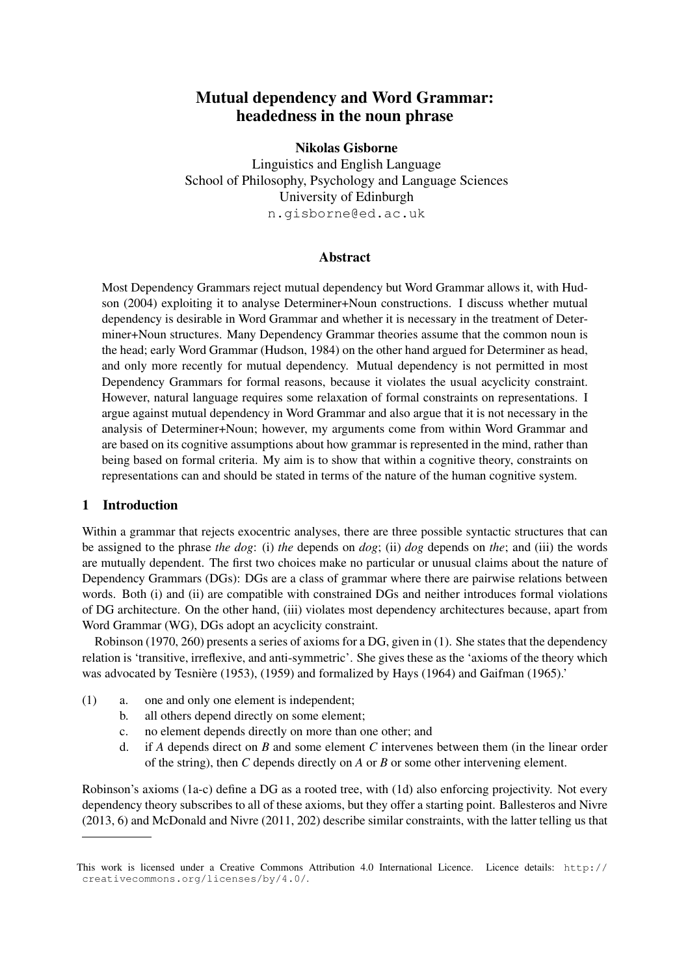# Mutual dependency and Word Grammar: headedness in the noun phrase

### Nikolas Gisborne

Linguistics and English Language School of Philosophy, Psychology and Language Sciences University of Edinburgh n.gisborne@ed.ac.uk

#### Abstract

Most Dependency Grammars reject mutual dependency but Word Grammar allows it, with Hudson (2004) exploiting it to analyse Determiner+Noun constructions. I discuss whether mutual dependency is desirable in Word Grammar and whether it is necessary in the treatment of Determiner+Noun structures. Many Dependency Grammar theories assume that the common noun is the head; early Word Grammar (Hudson, 1984) on the other hand argued for Determiner as head, and only more recently for mutual dependency. Mutual dependency is not permitted in most Dependency Grammars for formal reasons, because it violates the usual acyclicity constraint. However, natural language requires some relaxation of formal constraints on representations. I argue against mutual dependency in Word Grammar and also argue that it is not necessary in the analysis of Determiner+Noun; however, my arguments come from within Word Grammar and are based on its cognitive assumptions about how grammar is represented in the mind, rather than being based on formal criteria. My aim is to show that within a cognitive theory, constraints on representations can and should be stated in terms of the nature of the human cognitive system.

### 1 Introduction

Within a grammar that rejects exocentric analyses, there are three possible syntactic structures that can be assigned to the phrase *the dog*: (i) *the* depends on *dog*; (ii) *dog* depends on *the*; and (iii) the words are mutually dependent. The first two choices make no particular or unusual claims about the nature of Dependency Grammars (DGs): DGs are a class of grammar where there are pairwise relations between words. Both (i) and (ii) are compatible with constrained DGs and neither introduces formal violations of DG architecture. On the other hand, (iii) violates most dependency architectures because, apart from Word Grammar (WG), DGs adopt an acyclicity constraint.

Robinson (1970, 260) presents a series of axioms for a DG, given in (1). She states that the dependency relation is 'transitive, irreflexive, and anti-symmetric'. She gives these as the 'axioms of the theory which was advocated by Tesnière (1953), (1959) and formalized by Hays (1964) and Gaifman (1965).'

- (1) a. one and only one element is independent;
	- b. all others depend directly on some element;
	- c. no element depends directly on more than one other; and
	- d. if *A* depends direct on *B* and some element *C* intervenes between them (in the linear order of the string), then *C* depends directly on *A* or *B* or some other intervening element.

Robinson's axioms (1a-c) define a DG as a rooted tree, with (1d) also enforcing projectivity. Not every dependency theory subscribes to all of these axioms, but they offer a starting point. Ballesteros and Nivre (2013, 6) and McDonald and Nivre (2011, 202) describe similar constraints, with the latter telling us that

This work is licensed under a Creative Commons Attribution 4.0 International Licence. Licence details: http:// creativecommons.org/licenses/by/4.0/.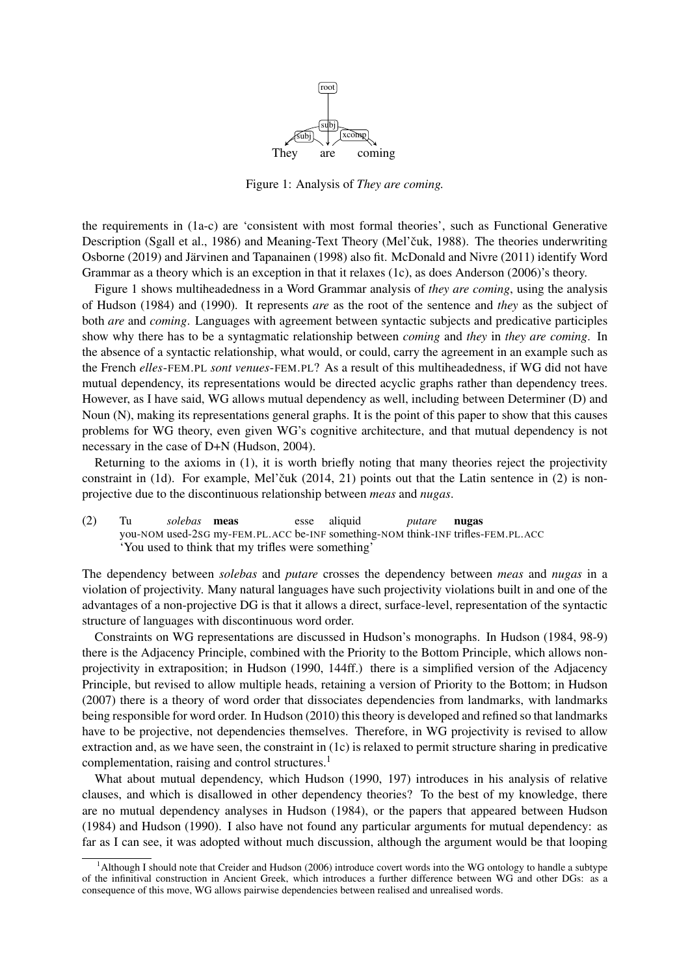

Figure 1: Analysis of *They are coming.*

the requirements in (1a-c) are 'consistent with most formal theories', such as Functional Generative Description (Sgall et al., 1986) and Meaning-Text Theory (Mel'čuk, 1988). The theories underwriting Osborne (2019) and Järvinen and Tapanainen (1998) also fit. McDonald and Nivre (2011) identify Word Grammar as a theory which is an exception in that it relaxes (1c), as does Anderson (2006)'s theory.

Figure 1 shows multiheadedness in a Word Grammar analysis of *they are coming*, using the analysis of Hudson (1984) and (1990). It represents *are* as the root of the sentence and *they* as the subject of both *are* and *coming*. Languages with agreement between syntactic subjects and predicative participles show why there has to be a syntagmatic relationship between *coming* and *they* in *they are coming*. In the absence of a syntactic relationship, what would, or could, carry the agreement in an example such as the French *elles*-FEM.PL *sont venues*-FEM.PL? As a result of this multiheadedness, if WG did not have mutual dependency, its representations would be directed acyclic graphs rather than dependency trees. However, as I have said, WG allows mutual dependency as well, including between Determiner (D) and Noun (N), making its representations general graphs. It is the point of this paper to show that this causes problems for WG theory, even given WG's cognitive architecture, and that mutual dependency is not necessary in the case of D+N (Hudson, 2004).

Returning to the axioms in (1), it is worth briefly noting that many theories reject the projectivity constraint in  $(1d)$ . For example, Mel'čuk  $(2014, 21)$  points out that the Latin sentence in  $(2)$  is nonprojective due to the discontinuous relationship between *meas* and *nugas*.

(2) Tu you-NOM used-2SG my-FEM.PL.ACC be-INF something-NOM think-INF trifles-FEM.PL.ACC *solebas* meas esse aliquid *putare* nugas 'You used to think that my trifles were something'

The dependency between *solebas* and *putare* crosses the dependency between *meas* and *nugas* in a violation of projectivity. Many natural languages have such projectivity violations built in and one of the advantages of a non-projective DG is that it allows a direct, surface-level, representation of the syntactic structure of languages with discontinuous word order.

Constraints on WG representations are discussed in Hudson's monographs. In Hudson (1984, 98-9) there is the Adjacency Principle, combined with the Priority to the Bottom Principle, which allows nonprojectivity in extraposition; in Hudson (1990, 144ff.) there is a simplified version of the Adjacency Principle, but revised to allow multiple heads, retaining a version of Priority to the Bottom; in Hudson (2007) there is a theory of word order that dissociates dependencies from landmarks, with landmarks being responsible for word order. In Hudson (2010) this theory is developed and refined so that landmarks have to be projective, not dependencies themselves. Therefore, in WG projectivity is revised to allow extraction and, as we have seen, the constraint in (1c) is relaxed to permit structure sharing in predicative complementation, raising and control structures.<sup>1</sup>

What about mutual dependency, which Hudson (1990, 197) introduces in his analysis of relative clauses, and which is disallowed in other dependency theories? To the best of my knowledge, there are no mutual dependency analyses in Hudson (1984), or the papers that appeared between Hudson (1984) and Hudson (1990). I also have not found any particular arguments for mutual dependency: as far as I can see, it was adopted without much discussion, although the argument would be that looping

<sup>&</sup>lt;sup>1</sup>Although I should note that Creider and Hudson (2006) introduce covert words into the WG ontology to handle a subtype of the infinitival construction in Ancient Greek, which introduces a further difference between WG and other DGs: as a consequence of this move, WG allows pairwise dependencies between realised and unrealised words.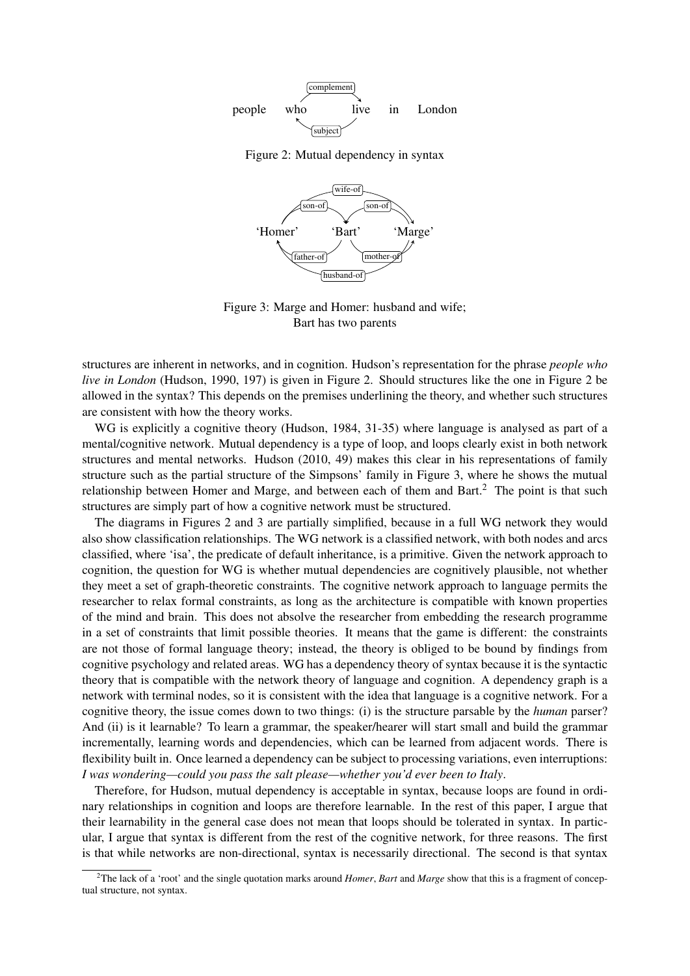

Figure 2: Mutual dependency in syntax



Figure 3: Marge and Homer: husband and wife; Bart has two parents

structures are inherent in networks, and in cognition. Hudson's representation for the phrase *people who live in London* (Hudson, 1990, 197) is given in Figure 2. Should structures like the one in Figure 2 be allowed in the syntax? This depends on the premises underlining the theory, and whether such structures are consistent with how the theory works.

WG is explicitly a cognitive theory (Hudson, 1984, 31-35) where language is analysed as part of a mental/cognitive network. Mutual dependency is a type of loop, and loops clearly exist in both network structures and mental networks. Hudson (2010, 49) makes this clear in his representations of family structure such as the partial structure of the Simpsons' family in Figure 3, where he shows the mutual relationship between Homer and Marge, and between each of them and Bart.<sup>2</sup> The point is that such structures are simply part of how a cognitive network must be structured.

The diagrams in Figures 2 and 3 are partially simplified, because in a full WG network they would also show classification relationships. The WG network is a classified network, with both nodes and arcs classified, where 'isa', the predicate of default inheritance, is a primitive. Given the network approach to cognition, the question for WG is whether mutual dependencies are cognitively plausible, not whether they meet a set of graph-theoretic constraints. The cognitive network approach to language permits the researcher to relax formal constraints, as long as the architecture is compatible with known properties of the mind and brain. This does not absolve the researcher from embedding the research programme in a set of constraints that limit possible theories. It means that the game is different: the constraints are not those of formal language theory; instead, the theory is obliged to be bound by findings from cognitive psychology and related areas. WG has a dependency theory of syntax because it is the syntactic theory that is compatible with the network theory of language and cognition. A dependency graph is a network with terminal nodes, so it is consistent with the idea that language is a cognitive network. For a cognitive theory, the issue comes down to two things: (i) is the structure parsable by the *human* parser? And (ii) is it learnable? To learn a grammar, the speaker/hearer will start small and build the grammar incrementally, learning words and dependencies, which can be learned from adjacent words. There is flexibility built in. Once learned a dependency can be subject to processing variations, even interruptions: *I was wondering—could you pass the salt please—whether you'd ever been to Italy*.

Therefore, for Hudson, mutual dependency is acceptable in syntax, because loops are found in ordinary relationships in cognition and loops are therefore learnable. In the rest of this paper, I argue that their learnability in the general case does not mean that loops should be tolerated in syntax. In particular, I argue that syntax is different from the rest of the cognitive network, for three reasons. The first is that while networks are non-directional, syntax is necessarily directional. The second is that syntax

<sup>2</sup>The lack of a 'root' and the single quotation marks around *Homer*, *Bart* and *Marge* show that this is a fragment of conceptual structure, not syntax.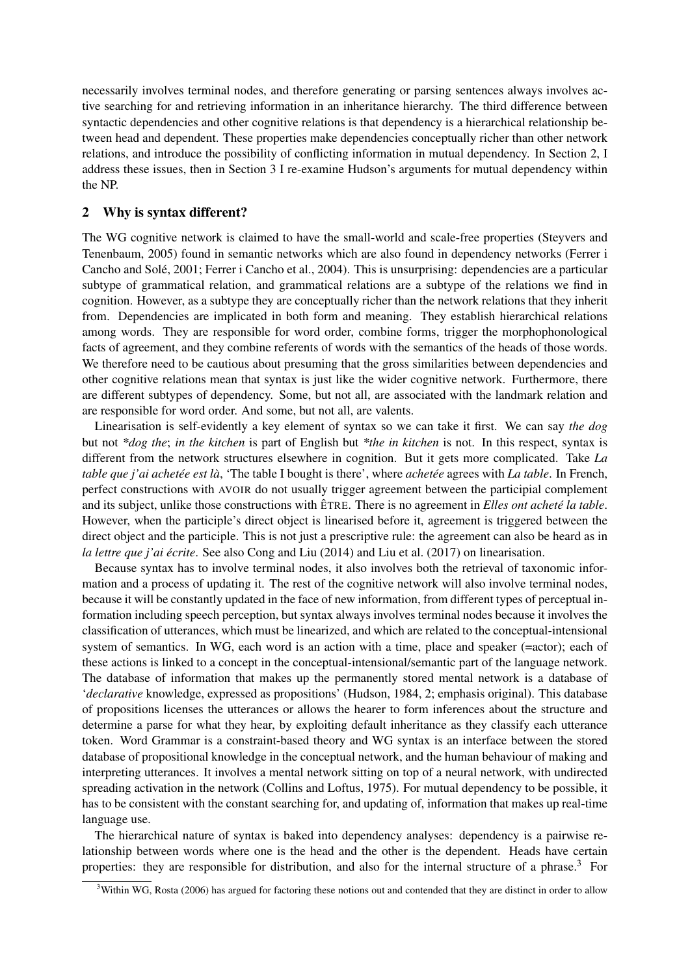necessarily involves terminal nodes, and therefore generating or parsing sentences always involves active searching for and retrieving information in an inheritance hierarchy. The third difference between syntactic dependencies and other cognitive relations is that dependency is a hierarchical relationship between head and dependent. These properties make dependencies conceptually richer than other network relations, and introduce the possibility of conflicting information in mutual dependency. In Section 2, I address these issues, then in Section 3 I re-examine Hudson's arguments for mutual dependency within the NP.

### 2 Why is syntax different?

The WG cognitive network is claimed to have the small-world and scale-free properties (Steyvers and Tenenbaum, 2005) found in semantic networks which are also found in dependency networks (Ferrer i Cancho and Solé, 2001; Ferrer i Cancho et al., 2004). This is unsurprising: dependencies are a particular subtype of grammatical relation, and grammatical relations are a subtype of the relations we find in cognition. However, as a subtype they are conceptually richer than the network relations that they inherit from. Dependencies are implicated in both form and meaning. They establish hierarchical relations among words. They are responsible for word order, combine forms, trigger the morphophonological facts of agreement, and they combine referents of words with the semantics of the heads of those words. We therefore need to be cautious about presuming that the gross similarities between dependencies and other cognitive relations mean that syntax is just like the wider cognitive network. Furthermore, there are different subtypes of dependency. Some, but not all, are associated with the landmark relation and are responsible for word order. And some, but not all, are valents.

Linearisation is self-evidently a key element of syntax so we can take it first. We can say *the dog* but not *\*dog the*; *in the kitchen* is part of English but *\*the in kitchen* is not. In this respect, syntax is different from the network structures elsewhere in cognition. But it gets more complicated. Take *La table que j'ai achetée est là*, 'The table I bought is there', where *achetée* agrees with *La table*. In French, perfect constructions with AVOIR do not usually trigger agreement between the participial complement and its subject, unlike those constructions with ÊTRE. There is no agreement in *Elles ont acheté la table*. However, when the participle's direct object is linearised before it, agreement is triggered between the direct object and the participle. This is not just a prescriptive rule: the agreement can also be heard as in *la lettre que j'ai ecrite ´* . See also Cong and Liu (2014) and Liu et al. (2017) on linearisation.

Because syntax has to involve terminal nodes, it also involves both the retrieval of taxonomic information and a process of updating it. The rest of the cognitive network will also involve terminal nodes, because it will be constantly updated in the face of new information, from different types of perceptual information including speech perception, but syntax always involves terminal nodes because it involves the classification of utterances, which must be linearized, and which are related to the conceptual-intensional system of semantics. In WG, each word is an action with a time, place and speaker (=actor); each of these actions is linked to a concept in the conceptual-intensional/semantic part of the language network. The database of information that makes up the permanently stored mental network is a database of '*declarative* knowledge, expressed as propositions' (Hudson, 1984, 2; emphasis original). This database of propositions licenses the utterances or allows the hearer to form inferences about the structure and determine a parse for what they hear, by exploiting default inheritance as they classify each utterance token. Word Grammar is a constraint-based theory and WG syntax is an interface between the stored database of propositional knowledge in the conceptual network, and the human behaviour of making and interpreting utterances. It involves a mental network sitting on top of a neural network, with undirected spreading activation in the network (Collins and Loftus, 1975). For mutual dependency to be possible, it has to be consistent with the constant searching for, and updating of, information that makes up real-time language use.

The hierarchical nature of syntax is baked into dependency analyses: dependency is a pairwise relationship between words where one is the head and the other is the dependent. Heads have certain properties: they are responsible for distribution, and also for the internal structure of a phrase.<sup>3</sup> For

 $3$ Within WG, Rosta (2006) has argued for factoring these notions out and contended that they are distinct in order to allow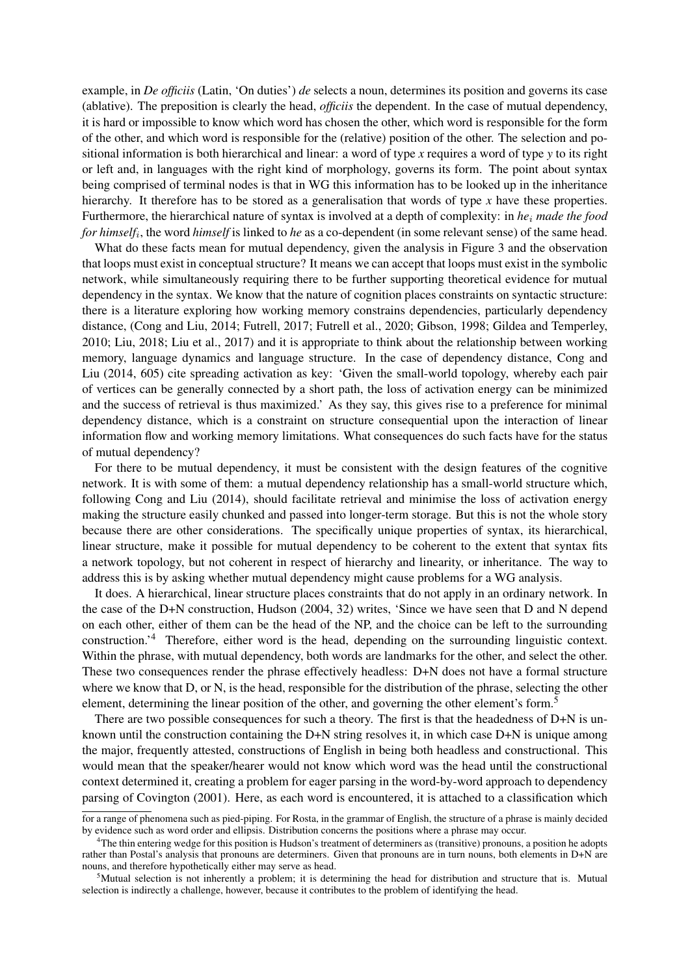example, in *De officiis* (Latin, 'On duties') *de* selects a noun, determines its position and governs its case (ablative). The preposition is clearly the head, *officiis* the dependent. In the case of mutual dependency, it is hard or impossible to know which word has chosen the other, which word is responsible for the form of the other, and which word is responsible for the (relative) position of the other. The selection and positional information is both hierarchical and linear: a word of type *x* requires a word of type *y* to its right or left and, in languages with the right kind of morphology, governs its form. The point about syntax being comprised of terminal nodes is that in WG this information has to be looked up in the inheritance hierarchy. It therefore has to be stored as a generalisation that words of type *x* have these properties. Furthermore, the hierarchical nature of syntax is involved at a depth of complexity: in *he*<sup>i</sup> *made the food for himself*<sup>i</sup> , the word *himself* is linked to *he* as a co-dependent (in some relevant sense) of the same head.

What do these facts mean for mutual dependency, given the analysis in Figure 3 and the observation that loops must exist in conceptual structure? It means we can accept that loops must exist in the symbolic network, while simultaneously requiring there to be further supporting theoretical evidence for mutual dependency in the syntax. We know that the nature of cognition places constraints on syntactic structure: there is a literature exploring how working memory constrains dependencies, particularly dependency distance, (Cong and Liu, 2014; Futrell, 2017; Futrell et al., 2020; Gibson, 1998; Gildea and Temperley, 2010; Liu, 2018; Liu et al., 2017) and it is appropriate to think about the relationship between working memory, language dynamics and language structure. In the case of dependency distance, Cong and Liu (2014, 605) cite spreading activation as key: 'Given the small-world topology, whereby each pair of vertices can be generally connected by a short path, the loss of activation energy can be minimized and the success of retrieval is thus maximized.' As they say, this gives rise to a preference for minimal dependency distance, which is a constraint on structure consequential upon the interaction of linear information flow and working memory limitations. What consequences do such facts have for the status of mutual dependency?

For there to be mutual dependency, it must be consistent with the design features of the cognitive network. It is with some of them: a mutual dependency relationship has a small-world structure which, following Cong and Liu (2014), should facilitate retrieval and minimise the loss of activation energy making the structure easily chunked and passed into longer-term storage. But this is not the whole story because there are other considerations. The specifically unique properties of syntax, its hierarchical, linear structure, make it possible for mutual dependency to be coherent to the extent that syntax fits a network topology, but not coherent in respect of hierarchy and linearity, or inheritance. The way to address this is by asking whether mutual dependency might cause problems for a WG analysis.

It does. A hierarchical, linear structure places constraints that do not apply in an ordinary network. In the case of the D+N construction, Hudson (2004, 32) writes, 'Since we have seen that D and N depend on each other, either of them can be the head of the NP, and the choice can be left to the surrounding construction.'<sup>4</sup> Therefore, either word is the head, depending on the surrounding linguistic context. Within the phrase, with mutual dependency, both words are landmarks for the other, and select the other. These two consequences render the phrase effectively headless: D+N does not have a formal structure where we know that D, or N, is the head, responsible for the distribution of the phrase, selecting the other element, determining the linear position of the other, and governing the other element's form.<sup>5</sup>

There are two possible consequences for such a theory. The first is that the headedness of D+N is unknown until the construction containing the D+N string resolves it, in which case D+N is unique among the major, frequently attested, constructions of English in being both headless and constructional. This would mean that the speaker/hearer would not know which word was the head until the constructional context determined it, creating a problem for eager parsing in the word-by-word approach to dependency parsing of Covington (2001). Here, as each word is encountered, it is attached to a classification which

for a range of phenomena such as pied-piping. For Rosta, in the grammar of English, the structure of a phrase is mainly decided by evidence such as word order and ellipsis. Distribution concerns the positions where a phrase may occur.

<sup>4</sup>The thin entering wedge for this position is Hudson's treatment of determiners as (transitive) pronouns, a position he adopts rather than Postal's analysis that pronouns are determiners. Given that pronouns are in turn nouns, both elements in D+N are nouns, and therefore hypothetically either may serve as head.

<sup>&</sup>lt;sup>5</sup>Mutual selection is not inherently a problem; it is determining the head for distribution and structure that is. Mutual selection is indirectly a challenge, however, because it contributes to the problem of identifying the head.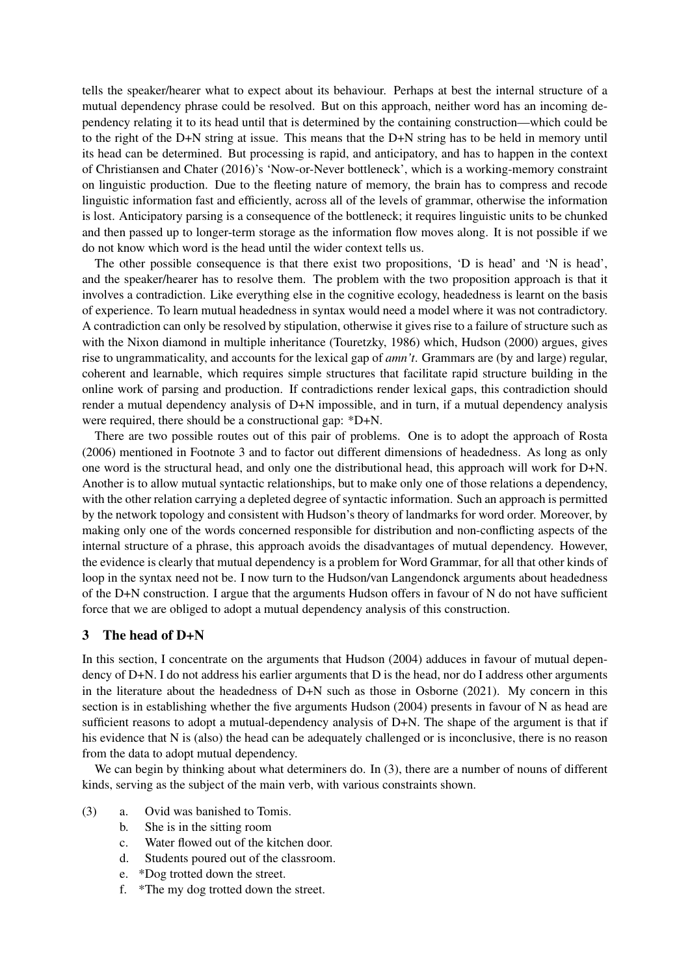tells the speaker/hearer what to expect about its behaviour. Perhaps at best the internal structure of a mutual dependency phrase could be resolved. But on this approach, neither word has an incoming dependency relating it to its head until that is determined by the containing construction—which could be to the right of the D+N string at issue. This means that the D+N string has to be held in memory until its head can be determined. But processing is rapid, and anticipatory, and has to happen in the context of Christiansen and Chater (2016)'s 'Now-or-Never bottleneck', which is a working-memory constraint on linguistic production. Due to the fleeting nature of memory, the brain has to compress and recode linguistic information fast and efficiently, across all of the levels of grammar, otherwise the information is lost. Anticipatory parsing is a consequence of the bottleneck; it requires linguistic units to be chunked and then passed up to longer-term storage as the information flow moves along. It is not possible if we do not know which word is the head until the wider context tells us.

The other possible consequence is that there exist two propositions, 'D is head' and 'N is head', and the speaker/hearer has to resolve them. The problem with the two proposition approach is that it involves a contradiction. Like everything else in the cognitive ecology, headedness is learnt on the basis of experience. To learn mutual headedness in syntax would need a model where it was not contradictory. A contradiction can only be resolved by stipulation, otherwise it gives rise to a failure of structure such as with the Nixon diamond in multiple inheritance (Touretzky, 1986) which, Hudson (2000) argues, gives rise to ungrammaticality, and accounts for the lexical gap of *amn't*. Grammars are (by and large) regular, coherent and learnable, which requires simple structures that facilitate rapid structure building in the online work of parsing and production. If contradictions render lexical gaps, this contradiction should render a mutual dependency analysis of D+N impossible, and in turn, if a mutual dependency analysis were required, there should be a constructional gap: \*D+N.

There are two possible routes out of this pair of problems. One is to adopt the approach of Rosta (2006) mentioned in Footnote 3 and to factor out different dimensions of headedness. As long as only one word is the structural head, and only one the distributional head, this approach will work for D+N. Another is to allow mutual syntactic relationships, but to make only one of those relations a dependency, with the other relation carrying a depleted degree of syntactic information. Such an approach is permitted by the network topology and consistent with Hudson's theory of landmarks for word order. Moreover, by making only one of the words concerned responsible for distribution and non-conflicting aspects of the internal structure of a phrase, this approach avoids the disadvantages of mutual dependency. However, the evidence is clearly that mutual dependency is a problem for Word Grammar, for all that other kinds of loop in the syntax need not be. I now turn to the Hudson/van Langendonck arguments about headedness of the D+N construction. I argue that the arguments Hudson offers in favour of N do not have sufficient force that we are obliged to adopt a mutual dependency analysis of this construction.

#### 3 The head of D+N

In this section, I concentrate on the arguments that Hudson (2004) adduces in favour of mutual dependency of D+N. I do not address his earlier arguments that D is the head, nor do I address other arguments in the literature about the headedness of D+N such as those in Osborne (2021). My concern in this section is in establishing whether the five arguments Hudson (2004) presents in favour of N as head are sufficient reasons to adopt a mutual-dependency analysis of D+N. The shape of the argument is that if his evidence that N is (also) the head can be adequately challenged or is inconclusive, there is no reason from the data to adopt mutual dependency.

We can begin by thinking about what determiners do. In (3), there are a number of nouns of different kinds, serving as the subject of the main verb, with various constraints shown.

- (3) a. Ovid was banished to Tomis.
	- b. She is in the sitting room
	- c. Water flowed out of the kitchen door.
	- d. Students poured out of the classroom.
	- e. \*Dog trotted down the street.
	- f. \*The my dog trotted down the street.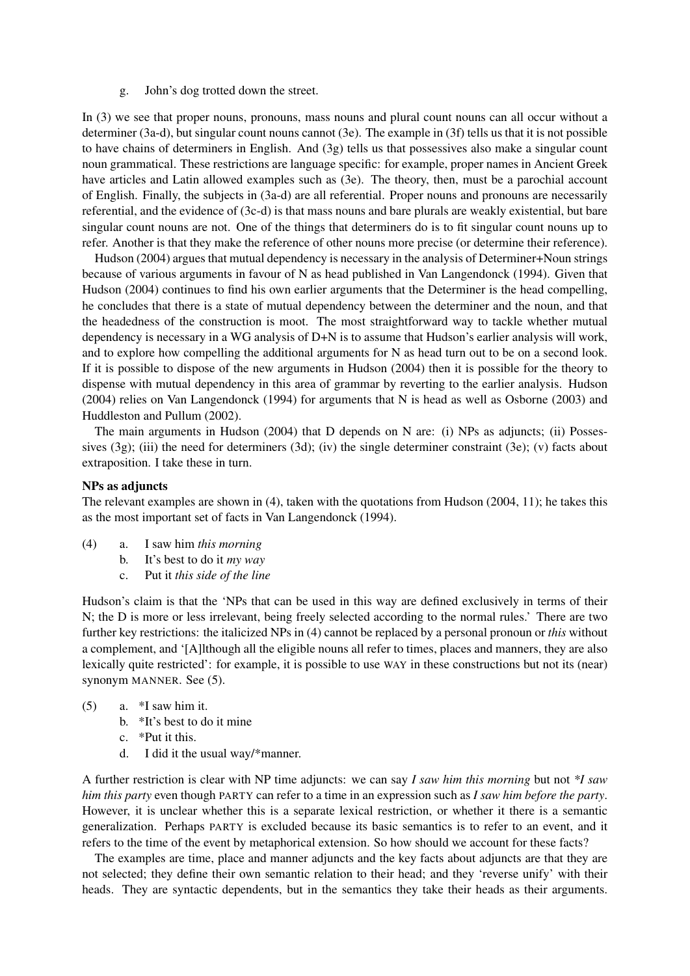g. John's dog trotted down the street.

In (3) we see that proper nouns, pronouns, mass nouns and plural count nouns can all occur without a determiner (3a-d), but singular count nouns cannot (3e). The example in (3f) tells us that it is not possible to have chains of determiners in English. And (3g) tells us that possessives also make a singular count noun grammatical. These restrictions are language specific: for example, proper names in Ancient Greek have articles and Latin allowed examples such as (3e). The theory, then, must be a parochial account of English. Finally, the subjects in (3a-d) are all referential. Proper nouns and pronouns are necessarily referential, and the evidence of (3c-d) is that mass nouns and bare plurals are weakly existential, but bare singular count nouns are not. One of the things that determiners do is to fit singular count nouns up to refer. Another is that they make the reference of other nouns more precise (or determine their reference).

Hudson (2004) argues that mutual dependency is necessary in the analysis of Determiner+Noun strings because of various arguments in favour of N as head published in Van Langendonck (1994). Given that Hudson (2004) continues to find his own earlier arguments that the Determiner is the head compelling, he concludes that there is a state of mutual dependency between the determiner and the noun, and that the headedness of the construction is moot. The most straightforward way to tackle whether mutual dependency is necessary in a WG analysis of D+N is to assume that Hudson's earlier analysis will work, and to explore how compelling the additional arguments for N as head turn out to be on a second look. If it is possible to dispose of the new arguments in Hudson (2004) then it is possible for the theory to dispense with mutual dependency in this area of grammar by reverting to the earlier analysis. Hudson (2004) relies on Van Langendonck (1994) for arguments that N is head as well as Osborne (2003) and Huddleston and Pullum (2002).

The main arguments in Hudson (2004) that D depends on N are: (i) NPs as adjuncts; (ii) Possessives  $(3g)$ ; (iii) the need for determiners  $(3d)$ ; (iv) the single determiner constraint  $(3e)$ ; (v) facts about extraposition. I take these in turn.

#### NPs as adjuncts

The relevant examples are shown in (4), taken with the quotations from Hudson (2004, 11); he takes this as the most important set of facts in Van Langendonck (1994).

- (4) a. I saw him *this morning*
	- b. It's best to do it *my way*
	- c. Put it *this side of the line*

Hudson's claim is that the 'NPs that can be used in this way are defined exclusively in terms of their N; the D is more or less irrelevant, being freely selected according to the normal rules.' There are two further key restrictions: the italicized NPs in (4) cannot be replaced by a personal pronoun or *this* without a complement, and '[A]lthough all the eligible nouns all refer to times, places and manners, they are also lexically quite restricted': for example, it is possible to use WAY in these constructions but not its (near) synonym MANNER. See (5).

- (5) a. \*I saw him it.
	- b. \*It's best to do it mine
	- c. \*Put it this.
	- d. I did it the usual way/\*manner.

A further restriction is clear with NP time adjuncts: we can say *I saw him this morning* but not *\*I saw him this party* even though PARTY can refer to a time in an expression such as *I saw him before the party*. However, it is unclear whether this is a separate lexical restriction, or whether it there is a semantic generalization. Perhaps PARTY is excluded because its basic semantics is to refer to an event, and it refers to the time of the event by metaphorical extension. So how should we account for these facts?

The examples are time, place and manner adjuncts and the key facts about adjuncts are that they are not selected; they define their own semantic relation to their head; and they 'reverse unify' with their heads. They are syntactic dependents, but in the semantics they take their heads as their arguments.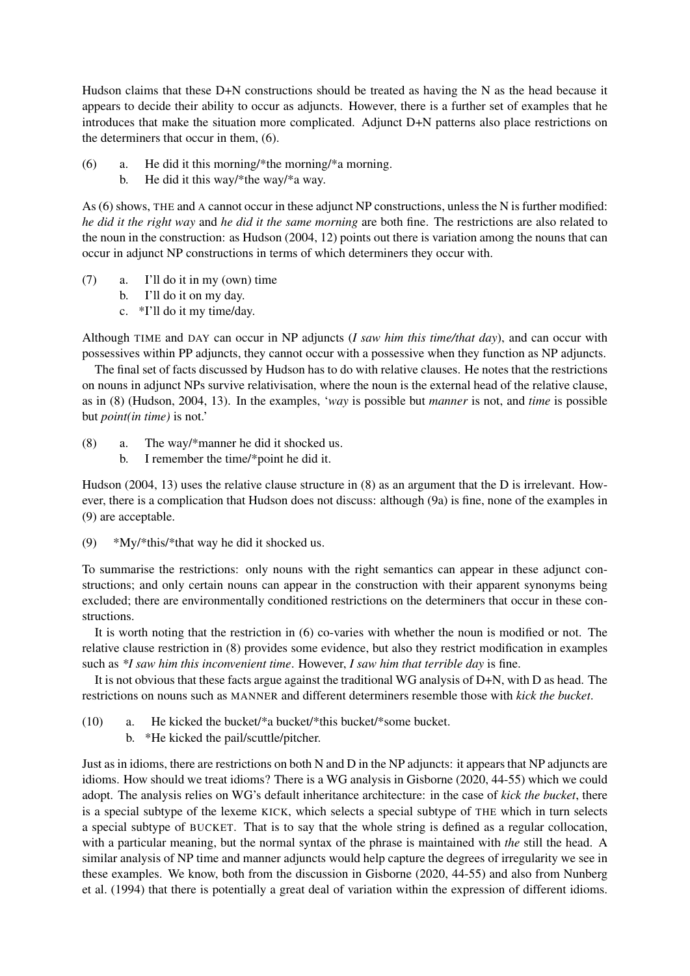Hudson claims that these D+N constructions should be treated as having the N as the head because it appears to decide their ability to occur as adjuncts. However, there is a further set of examples that he introduces that make the situation more complicated. Adjunct D+N patterns also place restrictions on the determiners that occur in them, (6).

- (6) a. He did it this morning/\*the morning/\*a morning.
	- b. He did it this way/\*the way/\*a way.

As (6) shows, THE and A cannot occur in these adjunct NP constructions, unless the N is further modified: *he did it the right way* and *he did it the same morning* are both fine. The restrictions are also related to the noun in the construction: as Hudson (2004, 12) points out there is variation among the nouns that can occur in adjunct NP constructions in terms of which determiners they occur with.

- (7) a. I'll do it in my (own) time
	- b. I'll do it on my day.
	- c. \*I'll do it my time/day.

Although TIME and DAY can occur in NP adjuncts (*I saw him this time/that day*), and can occur with possessives within PP adjuncts, they cannot occur with a possessive when they function as NP adjuncts.

The final set of facts discussed by Hudson has to do with relative clauses. He notes that the restrictions on nouns in adjunct NPs survive relativisation, where the noun is the external head of the relative clause, as in (8) (Hudson, 2004, 13). In the examples, '*way* is possible but *manner* is not, and *time* is possible but *point(in time)* is not.'

(8) a. The way/\*manner he did it shocked us. b. I remember the time/\*point he did it.

Hudson (2004, 13) uses the relative clause structure in (8) as an argument that the D is irrelevant. However, there is a complication that Hudson does not discuss: although (9a) is fine, none of the examples in (9) are acceptable.

(9)  $*Mv/*$  this/\* that way he did it shocked us.

To summarise the restrictions: only nouns with the right semantics can appear in these adjunct constructions; and only certain nouns can appear in the construction with their apparent synonyms being excluded; there are environmentally conditioned restrictions on the determiners that occur in these constructions.

It is worth noting that the restriction in (6) co-varies with whether the noun is modified or not. The relative clause restriction in (8) provides some evidence, but also they restrict modification in examples such as *\*I saw him this inconvenient time*. However, *I saw him that terrible day* is fine.

It is not obvious that these facts argue against the traditional WG analysis of D+N, with D as head. The restrictions on nouns such as MANNER and different determiners resemble those with *kick the bucket*.

- (10) a. He kicked the bucket/\*a bucket/\*this bucket/\*some bucket.
	- b. \*He kicked the pail/scuttle/pitcher.

Just as in idioms, there are restrictions on both N and D in the NP adjuncts: it appears that NP adjuncts are idioms. How should we treat idioms? There is a WG analysis in Gisborne (2020, 44-55) which we could adopt. The analysis relies on WG's default inheritance architecture: in the case of *kick the bucket*, there is a special subtype of the lexeme KICK, which selects a special subtype of THE which in turn selects a special subtype of BUCKET. That is to say that the whole string is defined as a regular collocation, with a particular meaning, but the normal syntax of the phrase is maintained with *the* still the head. A similar analysis of NP time and manner adjuncts would help capture the degrees of irregularity we see in these examples. We know, both from the discussion in Gisborne (2020, 44-55) and also from Nunberg et al. (1994) that there is potentially a great deal of variation within the expression of different idioms.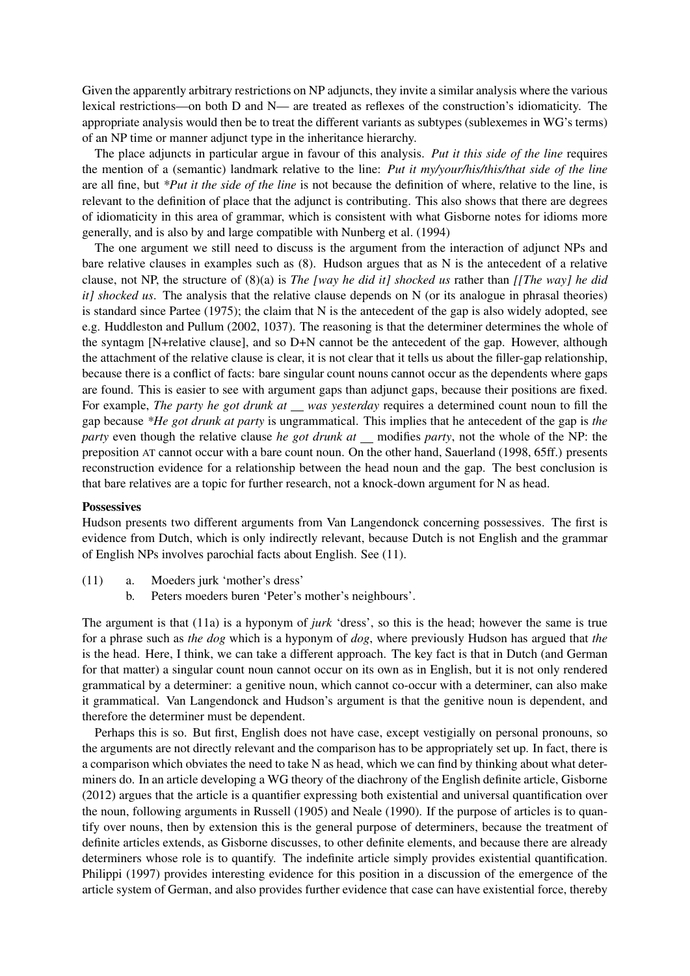Given the apparently arbitrary restrictions on NP adjuncts, they invite a similar analysis where the various lexical restrictions—on both D and N— are treated as reflexes of the construction's idiomaticity. The appropriate analysis would then be to treat the different variants as subtypes (sublexemes in WG's terms) of an NP time or manner adjunct type in the inheritance hierarchy.

The place adjuncts in particular argue in favour of this analysis. *Put it this side of the line* requires the mention of a (semantic) landmark relative to the line: *Put it my/your/his/this/that side of the line* are all fine, but *\*Put it the side of the line* is not because the definition of where, relative to the line, is relevant to the definition of place that the adjunct is contributing. This also shows that there are degrees of idiomaticity in this area of grammar, which is consistent with what Gisborne notes for idioms more generally, and is also by and large compatible with Nunberg et al. (1994)

The one argument we still need to discuss is the argument from the interaction of adjunct NPs and bare relative clauses in examples such as (8). Hudson argues that as N is the antecedent of a relative clause, not NP, the structure of (8)(a) is *The [way he did it] shocked us* rather than *[[The way] he did it] shocked us*. The analysis that the relative clause depends on N (or its analogue in phrasal theories) is standard since Partee (1975); the claim that N is the antecedent of the gap is also widely adopted, see e.g. Huddleston and Pullum (2002, 1037). The reasoning is that the determiner determines the whole of the syntagm [N+relative clause], and so D+N cannot be the antecedent of the gap. However, although the attachment of the relative clause is clear, it is not clear that it tells us about the filler-gap relationship, because there is a conflict of facts: bare singular count nouns cannot occur as the dependents where gaps are found. This is easier to see with argument gaps than adjunct gaps, because their positions are fixed. For example, *The party he got drunk at was yesterday* requires a determined count noun to fill the gap because *\*He got drunk at party* is ungrammatical. This implies that he antecedent of the gap is *the party* even though the relative clause *he got drunk at* \_ modifies *party*, not the whole of the NP: the preposition AT cannot occur with a bare count noun. On the other hand, Sauerland (1998, 65ff.) presents reconstruction evidence for a relationship between the head noun and the gap. The best conclusion is that bare relatives are a topic for further research, not a knock-down argument for N as head.

#### **Possessives**

Hudson presents two different arguments from Van Langendonck concerning possessives. The first is evidence from Dutch, which is only indirectly relevant, because Dutch is not English and the grammar of English NPs involves parochial facts about English. See (11).

- (11) a. Moeders jurk 'mother's dress'
	- b. Peters moeders buren 'Peter's mother's neighbours'.

The argument is that (11a) is a hyponym of *jurk* 'dress', so this is the head; however the same is true for a phrase such as *the dog* which is a hyponym of *dog*, where previously Hudson has argued that *the* is the head. Here, I think, we can take a different approach. The key fact is that in Dutch (and German for that matter) a singular count noun cannot occur on its own as in English, but it is not only rendered grammatical by a determiner: a genitive noun, which cannot co-occur with a determiner, can also make it grammatical. Van Langendonck and Hudson's argument is that the genitive noun is dependent, and therefore the determiner must be dependent.

Perhaps this is so. But first, English does not have case, except vestigially on personal pronouns, so the arguments are not directly relevant and the comparison has to be appropriately set up. In fact, there is a comparison which obviates the need to take N as head, which we can find by thinking about what determiners do. In an article developing a WG theory of the diachrony of the English definite article, Gisborne (2012) argues that the article is a quantifier expressing both existential and universal quantification over the noun, following arguments in Russell (1905) and Neale (1990). If the purpose of articles is to quantify over nouns, then by extension this is the general purpose of determiners, because the treatment of definite articles extends, as Gisborne discusses, to other definite elements, and because there are already determiners whose role is to quantify. The indefinite article simply provides existential quantification. Philippi (1997) provides interesting evidence for this position in a discussion of the emergence of the article system of German, and also provides further evidence that case can have existential force, thereby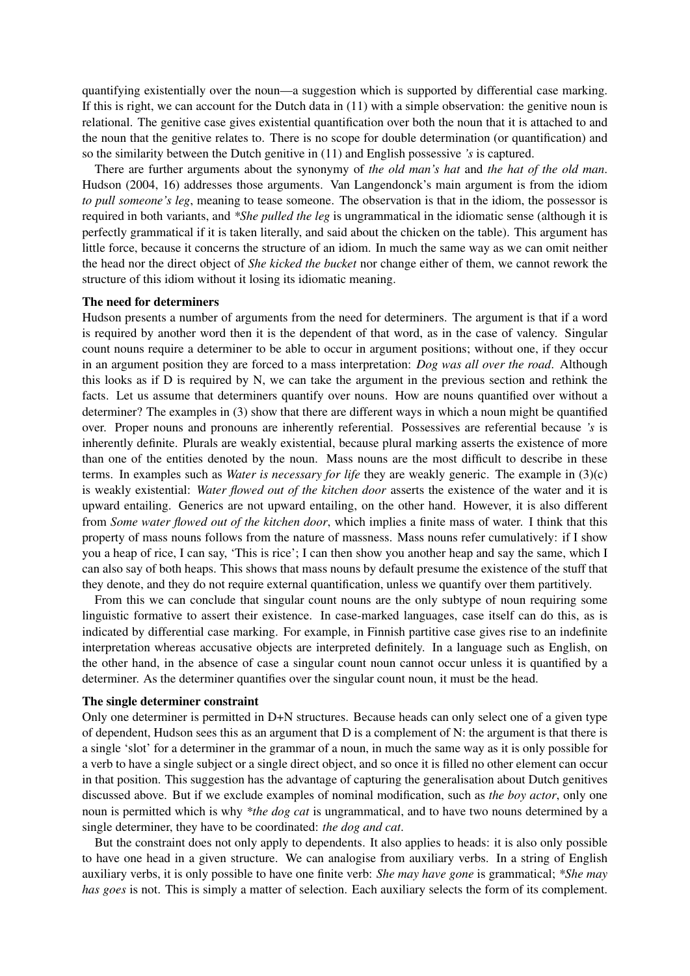quantifying existentially over the noun—a suggestion which is supported by differential case marking. If this is right, we can account for the Dutch data in (11) with a simple observation: the genitive noun is relational. The genitive case gives existential quantification over both the noun that it is attached to and the noun that the genitive relates to. There is no scope for double determination (or quantification) and so the similarity between the Dutch genitive in (11) and English possessive *'s* is captured.

There are further arguments about the synonymy of *the old man's hat* and *the hat of the old man*. Hudson (2004, 16) addresses those arguments. Van Langendonck's main argument is from the idiom *to pull someone's leg*, meaning to tease someone. The observation is that in the idiom, the possessor is required in both variants, and *\*She pulled the leg* is ungrammatical in the idiomatic sense (although it is perfectly grammatical if it is taken literally, and said about the chicken on the table). This argument has little force, because it concerns the structure of an idiom. In much the same way as we can omit neither the head nor the direct object of *She kicked the bucket* nor change either of them, we cannot rework the structure of this idiom without it losing its idiomatic meaning.

#### The need for determiners

Hudson presents a number of arguments from the need for determiners. The argument is that if a word is required by another word then it is the dependent of that word, as in the case of valency. Singular count nouns require a determiner to be able to occur in argument positions; without one, if they occur in an argument position they are forced to a mass interpretation: *Dog was all over the road*. Although this looks as if D is required by N, we can take the argument in the previous section and rethink the facts. Let us assume that determiners quantify over nouns. How are nouns quantified over without a determiner? The examples in (3) show that there are different ways in which a noun might be quantified over. Proper nouns and pronouns are inherently referential. Possessives are referential because *'s* is inherently definite. Plurals are weakly existential, because plural marking asserts the existence of more than one of the entities denoted by the noun. Mass nouns are the most difficult to describe in these terms. In examples such as *Water is necessary for life* they are weakly generic. The example in (3)(c) is weakly existential: *Water flowed out of the kitchen door* asserts the existence of the water and it is upward entailing. Generics are not upward entailing, on the other hand. However, it is also different from *Some water flowed out of the kitchen door*, which implies a finite mass of water. I think that this property of mass nouns follows from the nature of massness. Mass nouns refer cumulatively: if I show you a heap of rice, I can say, 'This is rice'; I can then show you another heap and say the same, which I can also say of both heaps. This shows that mass nouns by default presume the existence of the stuff that they denote, and they do not require external quantification, unless we quantify over them partitively.

From this we can conclude that singular count nouns are the only subtype of noun requiring some linguistic formative to assert their existence. In case-marked languages, case itself can do this, as is indicated by differential case marking. For example, in Finnish partitive case gives rise to an indefinite interpretation whereas accusative objects are interpreted definitely. In a language such as English, on the other hand, in the absence of case a singular count noun cannot occur unless it is quantified by a determiner. As the determiner quantifies over the singular count noun, it must be the head.

#### The single determiner constraint

Only one determiner is permitted in D+N structures. Because heads can only select one of a given type of dependent, Hudson sees this as an argument that  $D$  is a complement of  $N$ : the argument is that there is a single 'slot' for a determiner in the grammar of a noun, in much the same way as it is only possible for a verb to have a single subject or a single direct object, and so once it is filled no other element can occur in that position. This suggestion has the advantage of capturing the generalisation about Dutch genitives discussed above. But if we exclude examples of nominal modification, such as *the boy actor*, only one noun is permitted which is why *\*the dog cat* is ungrammatical, and to have two nouns determined by a single determiner, they have to be coordinated: *the dog and cat*.

But the constraint does not only apply to dependents. It also applies to heads: it is also only possible to have one head in a given structure. We can analogise from auxiliary verbs. In a string of English auxiliary verbs, it is only possible to have one finite verb: *She may have gone* is grammatical; *\*She may has goes* is not. This is simply a matter of selection. Each auxiliary selects the form of its complement.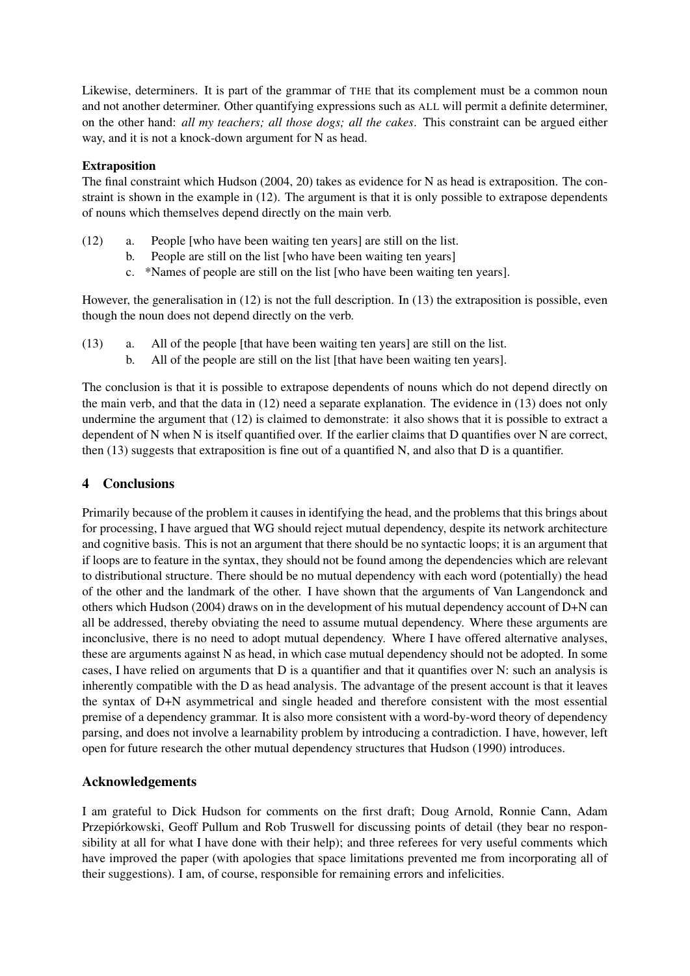Likewise, determiners. It is part of the grammar of THE that its complement must be a common noun and not another determiner. Other quantifying expressions such as ALL will permit a definite determiner, on the other hand: *all my teachers; all those dogs; all the cakes*. This constraint can be argued either way, and it is not a knock-down argument for N as head.

### Extraposition

The final constraint which Hudson (2004, 20) takes as evidence for N as head is extraposition. The constraint is shown in the example in (12). The argument is that it is only possible to extrapose dependents of nouns which themselves depend directly on the main verb.

- (12) a. People [who have been waiting ten years] are still on the list.
	- b. People are still on the list [who have been waiting ten years]
	- c. \*Names of people are still on the list [who have been waiting ten years].

However, the generalisation in (12) is not the full description. In (13) the extraposition is possible, even though the noun does not depend directly on the verb.

- (13) a. All of the people [that have been waiting ten years] are still on the list.
	- b. All of the people are still on the list [that have been waiting ten years].

The conclusion is that it is possible to extrapose dependents of nouns which do not depend directly on the main verb, and that the data in (12) need a separate explanation. The evidence in (13) does not only undermine the argument that (12) is claimed to demonstrate: it also shows that it is possible to extract a dependent of N when N is itself quantified over. If the earlier claims that D quantifies over N are correct, then (13) suggests that extraposition is fine out of a quantified N, and also that D is a quantifier.

# 4 Conclusions

Primarily because of the problem it causes in identifying the head, and the problems that this brings about for processing, I have argued that WG should reject mutual dependency, despite its network architecture and cognitive basis. This is not an argument that there should be no syntactic loops; it is an argument that if loops are to feature in the syntax, they should not be found among the dependencies which are relevant to distributional structure. There should be no mutual dependency with each word (potentially) the head of the other and the landmark of the other. I have shown that the arguments of Van Langendonck and others which Hudson (2004) draws on in the development of his mutual dependency account of D+N can all be addressed, thereby obviating the need to assume mutual dependency. Where these arguments are inconclusive, there is no need to adopt mutual dependency. Where I have offered alternative analyses, these are arguments against N as head, in which case mutual dependency should not be adopted. In some cases, I have relied on arguments that D is a quantifier and that it quantifies over N: such an analysis is inherently compatible with the D as head analysis. The advantage of the present account is that it leaves the syntax of D+N asymmetrical and single headed and therefore consistent with the most essential premise of a dependency grammar. It is also more consistent with a word-by-word theory of dependency parsing, and does not involve a learnability problem by introducing a contradiction. I have, however, left open for future research the other mutual dependency structures that Hudson (1990) introduces.

# Acknowledgements

I am grateful to Dick Hudson for comments on the first draft; Doug Arnold, Ronnie Cann, Adam Przepiorkowski, Geoff Pullum and Rob Truswell for discussing points of detail (they bear no respon- ´ sibility at all for what I have done with their help); and three referees for very useful comments which have improved the paper (with apologies that space limitations prevented me from incorporating all of their suggestions). I am, of course, responsible for remaining errors and infelicities.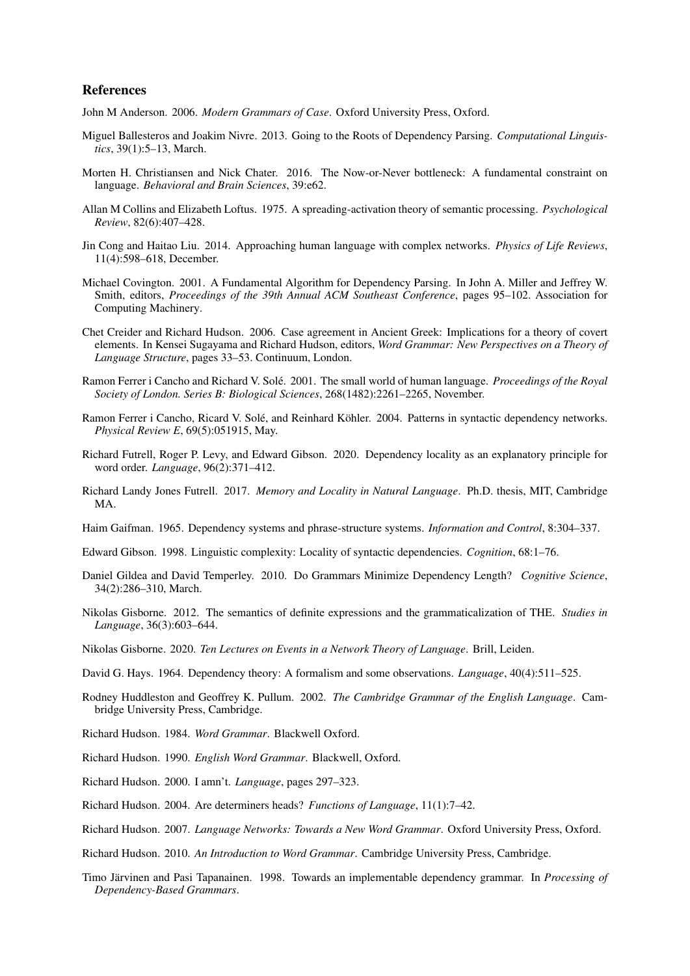#### References

John M Anderson. 2006. *Modern Grammars of Case*. Oxford University Press, Oxford.

- Miguel Ballesteros and Joakim Nivre. 2013. Going to the Roots of Dependency Parsing. *Computational Linguistics*, 39(1):5–13, March.
- Morten H. Christiansen and Nick Chater. 2016. The Now-or-Never bottleneck: A fundamental constraint on language. *Behavioral and Brain Sciences*, 39:e62.
- Allan M Collins and Elizabeth Loftus. 1975. A spreading-activation theory of semantic processing. *Psychological Review*, 82(6):407–428.
- Jin Cong and Haitao Liu. 2014. Approaching human language with complex networks. *Physics of Life Reviews*, 11(4):598–618, December.
- Michael Covington. 2001. A Fundamental Algorithm for Dependency Parsing. In John A. Miller and Jeffrey W. Smith, editors, *Proceedings of the 39th Annual ACM Southeast Conference*, pages 95–102. Association for Computing Machinery.
- Chet Creider and Richard Hudson. 2006. Case agreement in Ancient Greek: Implications for a theory of covert elements. In Kensei Sugayama and Richard Hudson, editors, *Word Grammar: New Perspectives on a Theory of Language Structure*, pages 33–53. Continuum, London.
- Ramon Ferrer i Cancho and Richard V. Solé. 2001. The small world of human language. *Proceedings of the Royal Society of London. Series B: Biological Sciences*, 268(1482):2261–2265, November.
- Ramon Ferrer i Cancho, Ricard V. Solé, and Reinhard Köhler. 2004. Patterns in syntactic dependency networks. *Physical Review E*, 69(5):051915, May.
- Richard Futrell, Roger P. Levy, and Edward Gibson. 2020. Dependency locality as an explanatory principle for word order. *Language*, 96(2):371–412.
- Richard Landy Jones Futrell. 2017. *Memory and Locality in Natural Language*. Ph.D. thesis, MIT, Cambridge MA.

Haim Gaifman. 1965. Dependency systems and phrase-structure systems. *Information and Control*, 8:304–337.

- Edward Gibson. 1998. Linguistic complexity: Locality of syntactic dependencies. *Cognition*, 68:1–76.
- Daniel Gildea and David Temperley. 2010. Do Grammars Minimize Dependency Length? *Cognitive Science*, 34(2):286–310, March.
- Nikolas Gisborne. 2012. The semantics of definite expressions and the grammaticalization of THE. *Studies in Language*, 36(3):603–644.
- Nikolas Gisborne. 2020. *Ten Lectures on Events in a Network Theory of Language*. Brill, Leiden.
- David G. Hays. 1964. Dependency theory: A formalism and some observations. *Language*, 40(4):511–525.
- Rodney Huddleston and Geoffrey K. Pullum. 2002. *The Cambridge Grammar of the English Language*. Cambridge University Press, Cambridge.
- Richard Hudson. 1984. *Word Grammar*. Blackwell Oxford.
- Richard Hudson. 1990. *English Word Grammar*. Blackwell, Oxford.
- Richard Hudson. 2000. I amn't. *Language*, pages 297–323.
- Richard Hudson. 2004. Are determiners heads? *Functions of Language*, 11(1):7–42.
- Richard Hudson. 2007. *Language Networks: Towards a New Word Grammar*. Oxford University Press, Oxford.
- Richard Hudson. 2010. *An Introduction to Word Grammar*. Cambridge University Press, Cambridge.
- Timo Järvinen and Pasi Tapanainen. 1998. Towards an implementable dependency grammar. In *Processing of Dependency-Based Grammars*.